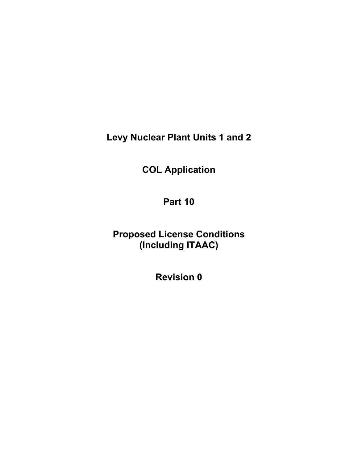**Levy Nuclear Plant Units 1 and 2** 

**COL Application** 

**Part 10** 

**Proposed License Conditions (Including ITAAC)** 

**Revision 0**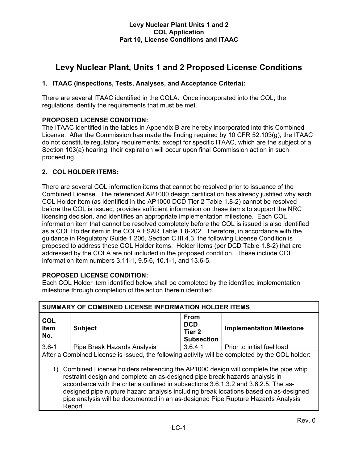# **Levy Nuclear Plant, Units 1 and 2 Proposed License Conditions**

# **1. ITAAC (Inspections, Tests, Analyses, and Acceptance Criteria):**

There are several ITAAC identified in the COLA. Once incorporated into the COL, the regulations identify the requirements that must be met.

# **PROPOSED LICENSE CONDITION:**

The ITAAC identified in the tables in Appendix B are hereby incorporated into this Combined License. After the Commission has made the finding required by 10 CFR 52.103(g), the ITAAC do not constitute regulatory requirements; except for specific ITAAC, which are the subject of a Section 103(a) hearing; their expiration will occur upon final Commission action in such proceeding.

# **2. COL HOLDER ITEMS:**

There are several COL information items that cannot be resolved prior to issuance of the Combined License. The referenced AP1000 design certification has already justified why each COL Holder item (as identified in the AP1000 DCD Tier 2 Table 1.8-2) cannot be resolved before the COL is issued, provides sufficient information on these items to support the NRC licensing decision, and identifies an appropriate implementation milestone. Each COL information item that cannot be resolved completely before the COL is issued is also identified as a COL Holder item in the COLA FSAR Table 1.8-202. Therefore, in accordance with the guidance in Regulatory Guide 1.206, Section C.III.4.3, the following License Condition is proposed to address these COL Holder items. Holder items (per DCD Table 1.8-2) that are addressed by the COLA are not included in the proposed condition. These include COL information item numbers 3.11-1, 9.5-6, 10.1-1, and 13.6-5.

# **PROPOSED LICENSE CONDITION:**

Each COL Holder item identified below shall be completed by the identified implementation milestone through completion of the action therein identified.

| SUMMARY OF COMBINED LICENSE INFORMATION HOLDER ITEMS                                                                                                                                                                                                                                                                                                                                                                                                                                                                                                  |                             |                                                          |                                 |  |
|-------------------------------------------------------------------------------------------------------------------------------------------------------------------------------------------------------------------------------------------------------------------------------------------------------------------------------------------------------------------------------------------------------------------------------------------------------------------------------------------------------------------------------------------------------|-----------------------------|----------------------------------------------------------|---------------------------------|--|
| <b>COL</b><br>Item<br>No.                                                                                                                                                                                                                                                                                                                                                                                                                                                                                                                             | <b>Subject</b>              | <b>From</b><br><b>DCD</b><br>Tier 2<br><b>Subsection</b> | <b>Implementation Milestone</b> |  |
| $3.6 - 1$                                                                                                                                                                                                                                                                                                                                                                                                                                                                                                                                             | Pipe Break Hazards Analysis | 3.6.4.1                                                  | Prior to initial fuel load      |  |
| After a Combined License is issued, the following activity will be completed by the COL holder:<br>1) Combined License holders referencing the AP1000 design will complete the pipe whip<br>restraint design and complete an as-designed pipe break hazards analysis in<br>accordance with the criteria outlined in subsections 3.6.1.3.2 and 3.6.2.5. The as-<br>designed pipe rupture hazard analysis including break locations based on as-designed<br>pipe analysis will be documented in an as-designed Pipe Rupture Hazards Analysis<br>Report. |                             |                                                          |                                 |  |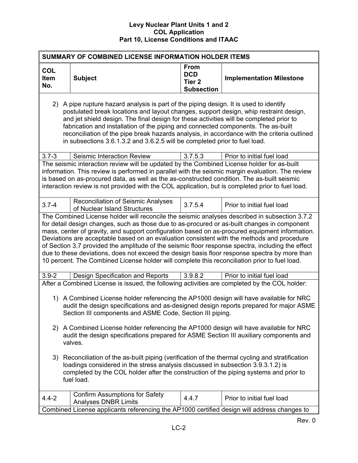| SUMMARY OF COMBINED LICENSE INFORMATION HOLDER ITEMS                                                                                                                                                                                                                                                                                                                                                                                                                                                                                                                                                                                                                                                 |                                                                                                                                                                                                                                                                                                                                                                                                                                                                                                                                              |                                                                     |                                 |  |  |  |
|------------------------------------------------------------------------------------------------------------------------------------------------------------------------------------------------------------------------------------------------------------------------------------------------------------------------------------------------------------------------------------------------------------------------------------------------------------------------------------------------------------------------------------------------------------------------------------------------------------------------------------------------------------------------------------------------------|----------------------------------------------------------------------------------------------------------------------------------------------------------------------------------------------------------------------------------------------------------------------------------------------------------------------------------------------------------------------------------------------------------------------------------------------------------------------------------------------------------------------------------------------|---------------------------------------------------------------------|---------------------------------|--|--|--|
| <b>COL</b><br>Item<br>No.                                                                                                                                                                                                                                                                                                                                                                                                                                                                                                                                                                                                                                                                            | <b>Subject</b>                                                                                                                                                                                                                                                                                                                                                                                                                                                                                                                               | <b>From</b><br><b>DCD</b><br>Tier <sub>2</sub><br><b>Subsection</b> | <b>Implementation Milestone</b> |  |  |  |
|                                                                                                                                                                                                                                                                                                                                                                                                                                                                                                                                                                                                                                                                                                      | 2) A pipe rupture hazard analysis is part of the piping design. It is used to identify<br>postulated break locations and layout changes, support design, whip restraint design,<br>and jet shield design. The final design for these activities will be completed prior to<br>fabrication and installation of the piping and connected components. The as-built<br>reconciliation of the pipe break hazards analysis, in accordance with the criteria outlined<br>in subsections 3.6.1.3.2 and 3.6.2.5 will be completed prior to fuel load. |                                                                     |                                 |  |  |  |
| $3.7 - 3$                                                                                                                                                                                                                                                                                                                                                                                                                                                                                                                                                                                                                                                                                            | Seismic Interaction Review                                                                                                                                                                                                                                                                                                                                                                                                                                                                                                                   | 3.7.5.3                                                             | Prior to initial fuel load      |  |  |  |
|                                                                                                                                                                                                                                                                                                                                                                                                                                                                                                                                                                                                                                                                                                      | The seismic interaction review will be updated by the Combined License holder for as-built<br>information. This review is performed in parallel with the seismic margin evaluation. The review<br>is based on as-procured data, as well as the as-constructed condition. The as-built seismic<br>interaction review is not provided with the COL application, but is completed prior to fuel load.                                                                                                                                           |                                                                     |                                 |  |  |  |
| $3.7 - 4$                                                                                                                                                                                                                                                                                                                                                                                                                                                                                                                                                                                                                                                                                            | <b>Reconciliation of Seismic Analyses</b><br>of Nuclear Island Structures                                                                                                                                                                                                                                                                                                                                                                                                                                                                    | 3.7.5.4                                                             | Prior to initial fuel load      |  |  |  |
| The Combined License holder will reconcile the seismic analyses described in subsection 3.7.2<br>for detail design changes, such as those due to as-procured or as-built changes in component<br>mass, center of gravity, and support configuration based on as-procured equipment information.<br>Deviations are acceptable based on an evaluation consistent with the methods and procedure<br>of Section 3.7 provided the amplitude of the seismic floor response spectra, including the effect<br>due to these deviations, does not exceed the design basis floor response spectra by more than<br>10 percent. The Combined License holder will complete this reconciliation prior to fuel load. |                                                                                                                                                                                                                                                                                                                                                                                                                                                                                                                                              |                                                                     |                                 |  |  |  |
| $3.9 - 2$                                                                                                                                                                                                                                                                                                                                                                                                                                                                                                                                                                                                                                                                                            | Design Specification and Reports                                                                                                                                                                                                                                                                                                                                                                                                                                                                                                             | 3.9.8.2                                                             | Prior to initial fuel load      |  |  |  |
| After a Combined License is issued, the following activities are completed by the COL holder:<br>1) A Combined License holder referencing the AP1000 design will have available for NRC<br>audit the design specifications and as-designed design reports prepared for major ASME<br>Section III components and ASME Code, Section III piping.                                                                                                                                                                                                                                                                                                                                                       |                                                                                                                                                                                                                                                                                                                                                                                                                                                                                                                                              |                                                                     |                                 |  |  |  |
| 2) A Combined License holder referencing the AP1000 design will have available for NRC<br>audit the design specifications prepared for ASME Section III auxiliary components and<br>valves.                                                                                                                                                                                                                                                                                                                                                                                                                                                                                                          |                                                                                                                                                                                                                                                                                                                                                                                                                                                                                                                                              |                                                                     |                                 |  |  |  |
| 3) Reconciliation of the as-built piping (verification of the thermal cycling and stratification<br>loadings considered in the stress analysis discussed in subsection 3.9.3.1.2) is<br>completed by the COL holder after the construction of the piping systems and prior to<br>fuel load.                                                                                                                                                                                                                                                                                                                                                                                                          |                                                                                                                                                                                                                                                                                                                                                                                                                                                                                                                                              |                                                                     |                                 |  |  |  |
| $4.4 - 2$                                                                                                                                                                                                                                                                                                                                                                                                                                                                                                                                                                                                                                                                                            | <b>Confirm Assumptions for Safety</b><br><b>Analyses DNBR Limits</b>                                                                                                                                                                                                                                                                                                                                                                                                                                                                         | 4.4.7                                                               | Prior to initial fuel load      |  |  |  |
|                                                                                                                                                                                                                                                                                                                                                                                                                                                                                                                                                                                                                                                                                                      | Combined License applicants referencing the AP1000 certified design will address changes to                                                                                                                                                                                                                                                                                                                                                                                                                                                  |                                                                     |                                 |  |  |  |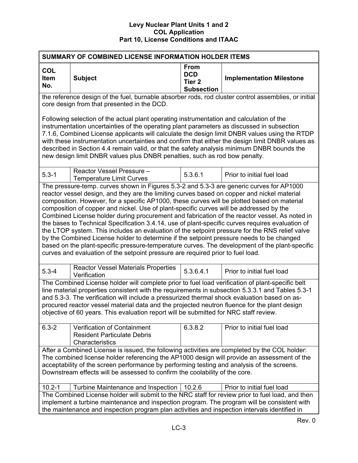| SUMMARY OF COMBINED LICENSE INFORMATION HOLDER ITEMS                                                                                                                                                                                                                                                                                                                                                                                                                                                                                                                                                                                                                                                                                                                                                                                                                                                                                                                      |                                                                                                                                                                                                                                                                                                                                                                                                                                                                                                                                                                         |                                                                     |                                 |  |
|---------------------------------------------------------------------------------------------------------------------------------------------------------------------------------------------------------------------------------------------------------------------------------------------------------------------------------------------------------------------------------------------------------------------------------------------------------------------------------------------------------------------------------------------------------------------------------------------------------------------------------------------------------------------------------------------------------------------------------------------------------------------------------------------------------------------------------------------------------------------------------------------------------------------------------------------------------------------------|-------------------------------------------------------------------------------------------------------------------------------------------------------------------------------------------------------------------------------------------------------------------------------------------------------------------------------------------------------------------------------------------------------------------------------------------------------------------------------------------------------------------------------------------------------------------------|---------------------------------------------------------------------|---------------------------------|--|
| <b>COL</b><br>Item<br>No.                                                                                                                                                                                                                                                                                                                                                                                                                                                                                                                                                                                                                                                                                                                                                                                                                                                                                                                                                 | <b>Subject</b>                                                                                                                                                                                                                                                                                                                                                                                                                                                                                                                                                          | <b>From</b><br><b>DCD</b><br>Tier <sub>2</sub><br><b>Subsection</b> | <b>Implementation Milestone</b> |  |
|                                                                                                                                                                                                                                                                                                                                                                                                                                                                                                                                                                                                                                                                                                                                                                                                                                                                                                                                                                           | the reference design of the fuel, burnable absorber rods, rod cluster control assemblies, or initial<br>core design from that presented in the DCD.                                                                                                                                                                                                                                                                                                                                                                                                                     |                                                                     |                                 |  |
|                                                                                                                                                                                                                                                                                                                                                                                                                                                                                                                                                                                                                                                                                                                                                                                                                                                                                                                                                                           | Following selection of the actual plant operating instrumentation and calculation of the<br>instrumentation uncertainties of the operating plant parameters as discussed in subsection<br>7.1.6, Combined License applicants will calculate the design limit DNBR values using the RTDP<br>with these instrumentation uncertainties and confirm that either the design limit DNBR values as<br>described in Section 4.4 remain valid, or that the safety analysis minimum DNBR bounds the<br>new design limit DNBR values plus DNBR penalties, such as rod bow penalty. |                                                                     |                                 |  |
| $5.3 - 1$                                                                                                                                                                                                                                                                                                                                                                                                                                                                                                                                                                                                                                                                                                                                                                                                                                                                                                                                                                 | Reactor Vessel Pressure -<br><b>Temperature Limit Curves</b>                                                                                                                                                                                                                                                                                                                                                                                                                                                                                                            | 5.3.6.1                                                             | Prior to initial fuel load      |  |
| The pressure-temp. curves shown in Figures 5.3-2 and 5.3-3 are generic curves for AP1000<br>reactor vessel design, and they are the limiting curves based on copper and nickel material<br>composition. However, for a specific AP1000, these curves will be plotted based on material<br>composition of copper and nickel. Use of plant-specific curves will be addressed by the<br>Combined License holder during procurement and fabrication of the reactor vessel. As noted in<br>the bases to Technical Specification 3.4.14, use of plant-specific curves requires evaluation of<br>the LTOP system. This includes an evaluation of the setpoint pressure for the RNS relief valve<br>by the Combined License holder to determine if the setpoint pressure needs to be changed<br>based on the plant-specific pressure-temperature curves. The development of the plant-specific<br>curves and evaluation of the setpoint pressure are required prior to fuel load. |                                                                                                                                                                                                                                                                                                                                                                                                                                                                                                                                                                         |                                                                     |                                 |  |
| $5.3 - 4$                                                                                                                                                                                                                                                                                                                                                                                                                                                                                                                                                                                                                                                                                                                                                                                                                                                                                                                                                                 | <b>Reactor Vessel Materials Properties</b><br>Verification                                                                                                                                                                                                                                                                                                                                                                                                                                                                                                              | 5.3.6.4.1                                                           | Prior to initial fuel load      |  |
| The Combined License holder will complete prior to fuel load verification of plant-specific belt<br>line material properties consistent with the requirements in subsection 5.3.3.1 and Tables 5.3-1<br>and 5.3-3. The verification will include a pressurized thermal shock evaluation based on as-<br>procured reactor vessel material data and the projected neutron fluence for the plant design<br>objective of 60 years. This evaluation report will be submitted for NRC staff review.                                                                                                                                                                                                                                                                                                                                                                                                                                                                             |                                                                                                                                                                                                                                                                                                                                                                                                                                                                                                                                                                         |                                                                     |                                 |  |
| $6.3 - 2$                                                                                                                                                                                                                                                                                                                                                                                                                                                                                                                                                                                                                                                                                                                                                                                                                                                                                                                                                                 | Verification of Containment<br><b>Resident Particulate Debris</b><br>Characteristics                                                                                                                                                                                                                                                                                                                                                                                                                                                                                    | 6.3.8.2                                                             | Prior to initial fuel load      |  |
| After a Combined License is issued, the following activities are completed by the COL holder:<br>The combined license holder referencing the AP1000 design will provide an assessment of the<br>acceptability of the screen performance by performing testing and analysis of the screens.<br>Downstream effects will be assessed to confirm the coolability of the core.                                                                                                                                                                                                                                                                                                                                                                                                                                                                                                                                                                                                 |                                                                                                                                                                                                                                                                                                                                                                                                                                                                                                                                                                         |                                                                     |                                 |  |
| $10.2 - 1$                                                                                                                                                                                                                                                                                                                                                                                                                                                                                                                                                                                                                                                                                                                                                                                                                                                                                                                                                                | Turbine Maintenance and Inspection                                                                                                                                                                                                                                                                                                                                                                                                                                                                                                                                      | 10.2.6                                                              | Prior to initial fuel load      |  |
|                                                                                                                                                                                                                                                                                                                                                                                                                                                                                                                                                                                                                                                                                                                                                                                                                                                                                                                                                                           | The Combined License holder will submit to the NRC staff for review prior to fuel load, and then<br>implement a turbine maintenance and inspection program. The program will be consistent with<br>the maintenance and inspection program plan activities and inspection intervals identified in                                                                                                                                                                                                                                                                        |                                                                     |                                 |  |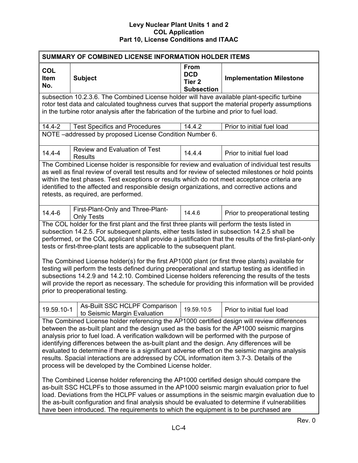| SUMMARY OF COMBINED LICENSE INFORMATION HOLDER ITEMS                                                                                                                                                                                                                                                                                                                                                                                                                                                                                                                                                                                                                                                                                                                                                                                                                                                                                                                                                                                                                                                                                     |                                                                                                                                                                                                                                                                                                                                                                                                                                                |                                                                     |                                 |  |
|------------------------------------------------------------------------------------------------------------------------------------------------------------------------------------------------------------------------------------------------------------------------------------------------------------------------------------------------------------------------------------------------------------------------------------------------------------------------------------------------------------------------------------------------------------------------------------------------------------------------------------------------------------------------------------------------------------------------------------------------------------------------------------------------------------------------------------------------------------------------------------------------------------------------------------------------------------------------------------------------------------------------------------------------------------------------------------------------------------------------------------------|------------------------------------------------------------------------------------------------------------------------------------------------------------------------------------------------------------------------------------------------------------------------------------------------------------------------------------------------------------------------------------------------------------------------------------------------|---------------------------------------------------------------------|---------------------------------|--|
| <b>COL</b><br>Item<br>No.                                                                                                                                                                                                                                                                                                                                                                                                                                                                                                                                                                                                                                                                                                                                                                                                                                                                                                                                                                                                                                                                                                                | <b>Subject</b>                                                                                                                                                                                                                                                                                                                                                                                                                                 | <b>From</b><br><b>DCD</b><br>Tier <sub>2</sub><br><b>Subsection</b> | <b>Implementation Milestone</b> |  |
|                                                                                                                                                                                                                                                                                                                                                                                                                                                                                                                                                                                                                                                                                                                                                                                                                                                                                                                                                                                                                                                                                                                                          | subsection 10.2.3.6. The Combined License holder will have available plant-specific turbine                                                                                                                                                                                                                                                                                                                                                    |                                                                     |                                 |  |
|                                                                                                                                                                                                                                                                                                                                                                                                                                                                                                                                                                                                                                                                                                                                                                                                                                                                                                                                                                                                                                                                                                                                          | rotor test data and calculated toughness curves that support the material property assumptions<br>in the turbine rotor analysis after the fabrication of the turbine and prior to fuel load.                                                                                                                                                                                                                                                   |                                                                     |                                 |  |
| $14.4 - 2$                                                                                                                                                                                                                                                                                                                                                                                                                                                                                                                                                                                                                                                                                                                                                                                                                                                                                                                                                                                                                                                                                                                               | <b>Test Specifics and Procedures</b>                                                                                                                                                                                                                                                                                                                                                                                                           | 14.4.2                                                              | Prior to initial fuel load      |  |
|                                                                                                                                                                                                                                                                                                                                                                                                                                                                                                                                                                                                                                                                                                                                                                                                                                                                                                                                                                                                                                                                                                                                          | NOTE -addressed by proposed License Condition Number 6.                                                                                                                                                                                                                                                                                                                                                                                        |                                                                     |                                 |  |
| $14.4 - 4$                                                                                                                                                                                                                                                                                                                                                                                                                                                                                                                                                                                                                                                                                                                                                                                                                                                                                                                                                                                                                                                                                                                               | <b>Review and Evaluation of Test</b><br><b>Results</b>                                                                                                                                                                                                                                                                                                                                                                                         | 14.4.4                                                              | Prior to initial fuel load      |  |
|                                                                                                                                                                                                                                                                                                                                                                                                                                                                                                                                                                                                                                                                                                                                                                                                                                                                                                                                                                                                                                                                                                                                          | The Combined License holder is responsible for review and evaluation of individual test results<br>as well as final review of overall test results and for review of selected milestones or hold points<br>within the test phases. Test exceptions or results which do not meet acceptance criteria are<br>identified to the affected and responsible design organizations, and corrective actions and<br>retests, as required, are performed. |                                                                     |                                 |  |
| $14.4 - 6$                                                                                                                                                                                                                                                                                                                                                                                                                                                                                                                                                                                                                                                                                                                                                                                                                                                                                                                                                                                                                                                                                                                               | First-Plant-Only and Three-Plant-<br><b>Only Tests</b>                                                                                                                                                                                                                                                                                                                                                                                         | 14.4.6                                                              | Prior to preoperational testing |  |
| The COL holder for the first plant and the first three plants will perform the tests listed in<br>subsection 14.2.5. For subsequent plants, either tests listed in subsection 14.2.5 shall be<br>performed, or the COL applicant shall provide a justification that the results of the first-plant-only<br>tests or first-three-plant tests are applicable to the subsequent plant.<br>The Combined License holder(s) for the first AP1000 plant (or first three plants) available for<br>testing will perform the tests defined during preoperational and startup testing as identified in<br>subsections 14.2.9 and 14.2.10. Combined License holders referencing the results of the tests<br>will provide the report as necessary. The schedule for providing this information will be provided<br>prior to preoperational testing.                                                                                                                                                                                                                                                                                                   |                                                                                                                                                                                                                                                                                                                                                                                                                                                |                                                                     |                                 |  |
| 19.59.10-1                                                                                                                                                                                                                                                                                                                                                                                                                                                                                                                                                                                                                                                                                                                                                                                                                                                                                                                                                                                                                                                                                                                               | As-Built SSC HCLPF Comparison<br>to Seismic Margin Evaluation                                                                                                                                                                                                                                                                                                                                                                                  | 19.59.10.5                                                          | Prior to initial fuel load      |  |
| The Combined License holder referencing the AP1000 certified design will review differences<br>between the as-built plant and the design used as the basis for the AP1000 seismic margins<br>analysis prior to fuel load. A verification walkdown will be performed with the purpose of<br>identifying differences between the as-built plant and the design. Any differences will be<br>evaluated to determine if there is a significant adverse effect on the seismic margins analysis<br>results. Spacial interactions are addressed by COL information item 3.7-3. Details of the<br>process will be developed by the Combined License holder.<br>The Combined License holder referencing the AP1000 certified design should compare the<br>as-built SSC HCLPFs to those assumed in the AP1000 seismic margin evaluation prior to fuel<br>load. Deviations from the HCLPF values or assumptions in the seismic margin evaluation due to<br>the as-built configuration and final analysis should be evaluated to determine if vulnerabilities<br>have been introduced. The requirements to which the equipment is to be purchased are |                                                                                                                                                                                                                                                                                                                                                                                                                                                |                                                                     |                                 |  |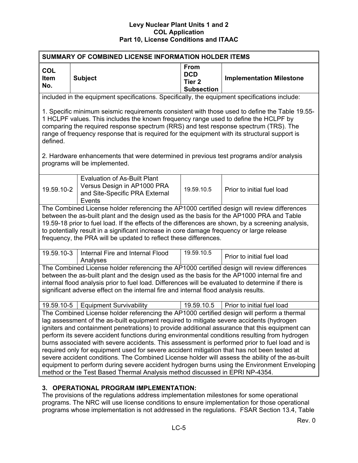| SUMMARY OF COMBINED LICENSE INFORMATION HOLDER ITEMS                                                                                                                                                                                                                                                                                                                                                                                                                                                                                                                                                                                                                                                                                                                                                                                                                        |                                                                                                                                                                                                                                                                                                                                                                                                                                                                |                                                                     |                                 |  |  |  |
|-----------------------------------------------------------------------------------------------------------------------------------------------------------------------------------------------------------------------------------------------------------------------------------------------------------------------------------------------------------------------------------------------------------------------------------------------------------------------------------------------------------------------------------------------------------------------------------------------------------------------------------------------------------------------------------------------------------------------------------------------------------------------------------------------------------------------------------------------------------------------------|----------------------------------------------------------------------------------------------------------------------------------------------------------------------------------------------------------------------------------------------------------------------------------------------------------------------------------------------------------------------------------------------------------------------------------------------------------------|---------------------------------------------------------------------|---------------------------------|--|--|--|
| <b>COL</b><br>Item<br>No.                                                                                                                                                                                                                                                                                                                                                                                                                                                                                                                                                                                                                                                                                                                                                                                                                                                   | <b>Subject</b>                                                                                                                                                                                                                                                                                                                                                                                                                                                 | <b>From</b><br><b>DCD</b><br>Tier <sub>2</sub><br><b>Subsection</b> | <b>Implementation Milestone</b> |  |  |  |
|                                                                                                                                                                                                                                                                                                                                                                                                                                                                                                                                                                                                                                                                                                                                                                                                                                                                             | included in the equipment specifications. Specifically, the equipment specifications include:                                                                                                                                                                                                                                                                                                                                                                  |                                                                     |                                 |  |  |  |
| defined.                                                                                                                                                                                                                                                                                                                                                                                                                                                                                                                                                                                                                                                                                                                                                                                                                                                                    | 1. Specific minimum seismic requirements consistent with those used to define the Table 19.55-<br>1 HCLPF values. This includes the known frequency range used to define the HCLPF by<br>comparing the required response spectrum (RRS) and test response spectrum (TRS). The<br>range of frequency response that is required for the equipment with its structural support is                                                                                 |                                                                     |                                 |  |  |  |
|                                                                                                                                                                                                                                                                                                                                                                                                                                                                                                                                                                                                                                                                                                                                                                                                                                                                             | 2. Hardware enhancements that were determined in previous test programs and/or analysis<br>programs will be implemented.                                                                                                                                                                                                                                                                                                                                       |                                                                     |                                 |  |  |  |
| <b>Evaluation of As-Built Plant</b><br>Versus Design in AP1000 PRA<br>19.59.10-2<br>19.59.10.5<br>and Site-Specific PRA External<br>Events                                                                                                                                                                                                                                                                                                                                                                                                                                                                                                                                                                                                                                                                                                                                  |                                                                                                                                                                                                                                                                                                                                                                                                                                                                | Prior to initial fuel load                                          |                                 |  |  |  |
|                                                                                                                                                                                                                                                                                                                                                                                                                                                                                                                                                                                                                                                                                                                                                                                                                                                                             | The Combined License holder referencing the AP1000 certified design will review differences<br>between the as-built plant and the design used as the basis for the AP1000 PRA and Table<br>19.59-18 prior to fuel load. If the effects of the differences are shown, by a screening analysis,<br>to potentially result in a significant increase in core damage frequency or large release<br>frequency, the PRA will be updated to reflect these differences. |                                                                     |                                 |  |  |  |
| 19.59.10-3                                                                                                                                                                                                                                                                                                                                                                                                                                                                                                                                                                                                                                                                                                                                                                                                                                                                  | Internal Fire and Internal Flood<br>Analyses                                                                                                                                                                                                                                                                                                                                                                                                                   | 19.59.10.5                                                          | Prior to initial fuel load      |  |  |  |
| The Combined License holder referencing the AP1000 certified design will review differences<br>between the as-built plant and the design used as the basis for the AP1000 internal fire and<br>internal flood analysis prior to fuel load. Differences will be evaluated to determine if there is<br>significant adverse effect on the internal fire and internal flood analysis results.                                                                                                                                                                                                                                                                                                                                                                                                                                                                                   |                                                                                                                                                                                                                                                                                                                                                                                                                                                                |                                                                     |                                 |  |  |  |
| 19.59.10-5                                                                                                                                                                                                                                                                                                                                                                                                                                                                                                                                                                                                                                                                                                                                                                                                                                                                  | <b>Equipment Survivability</b>                                                                                                                                                                                                                                                                                                                                                                                                                                 | 19.59.10.5                                                          | Prior to initial fuel load      |  |  |  |
| The Combined License holder referencing the AP1000 certified design will perform a thermal<br>lag assessment of the as-built equipment required to mitigate severe accidents (hydrogen<br>igniters and containment penetrations) to provide additional assurance that this equipment can<br>perform its severe accident functions during environmental conditions resulting from hydrogen<br>burns associated with severe accidents. This assessment is performed prior to fuel load and is<br>required only for equipment used for severe accident mitigation that has not been tested at<br>severe accident conditions. The Combined License holder will assess the ability of the as-built<br>equipment to perform during severe accident hydrogen burns using the Environment Enveloping<br>method or the Test Based Thermal Analysis method discussed in EPRI NP-4354. |                                                                                                                                                                                                                                                                                                                                                                                                                                                                |                                                                     |                                 |  |  |  |
|                                                                                                                                                                                                                                                                                                                                                                                                                                                                                                                                                                                                                                                                                                                                                                                                                                                                             |                                                                                                                                                                                                                                                                                                                                                                                                                                                                |                                                                     |                                 |  |  |  |

# **3. OPERATIONAL PROGRAM IMPLEMENTATION:**

The provisions of the regulations address implementation milestones for some operational programs. The NRC will use license conditions to ensure implementation for those operational programs whose implementation is not addressed in the regulations. FSAR Section 13.4, Table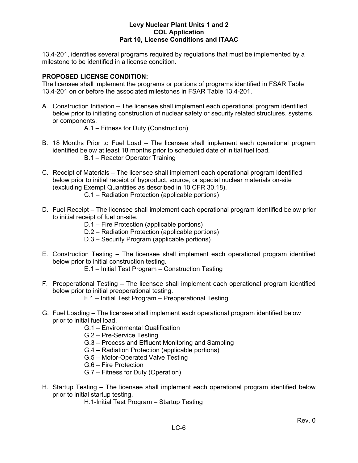13.4-201, identifies several programs required by regulations that must be implemented by a milestone to be identified in a license condition.

# **PROPOSED LICENSE CONDITION:**

The licensee shall implement the programs or portions of programs identified in FSAR Table 13.4-201 on or before the associated milestones in FSAR Table 13.4-201.

A. Construction Initiation – The licensee shall implement each operational program identified below prior to initiating construction of nuclear safety or security related structures, systems, or components.

A.1 – Fitness for Duty (Construction)

- B. 18 Months Prior to Fuel Load The licensee shall implement each operational program identified below at least 18 months prior to scheduled date of initial fuel load. B.1 – Reactor Operator Training
- C. Receipt of Materials The licensee shall implement each operational program identified below prior to initial receipt of byproduct, source, or special nuclear materials on-site (excluding Exempt Quantities as described in 10 CFR 30.18).
	- C.1 Radiation Protection (applicable portions)
- D. Fuel Receipt The licensee shall implement each operational program identified below prior to initial receipt of fuel on-site.
	- D.1 Fire Protection (applicable portions)
	- D.2 Radiation Protection (applicable portions)
	- D.3 Security Program (applicable portions)
- E. Construction Testing The licensee shall implement each operational program identified below prior to initial construction testing.
	- E.1 Initial Test Program Construction Testing
- F. Preoperational Testing The licensee shall implement each operational program identified below prior to initial preoperational testing.
	- F.1 Initial Test Program Preoperational Testing
- G. Fuel Loading The licensee shall implement each operational program identified below prior to initial fuel load.
	- G.1 Environmental Qualification
	- G.2 Pre-Service Testing
	- G.3 Process and Effluent Monitoring and Sampling
	- G.4 Radiation Protection (applicable portions)
	- G.5 Motor-Operated Valve Testing
	- G.6 Fire Protection
	- G.7 Fitness for Duty (Operation)
- H. Startup Testing The licensee shall implement each operational program identified below prior to initial startup testing.
	- H.1-Initial Test Program Startup Testing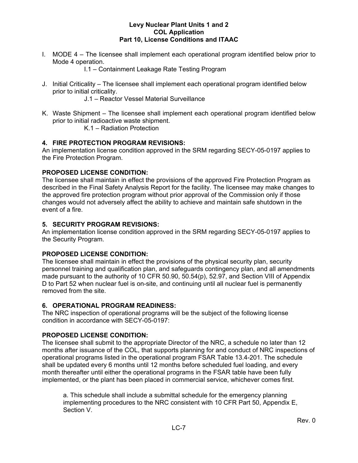I. MODE 4 – The licensee shall implement each operational program identified below prior to Mode 4 operation.

I.1 – Containment Leakage Rate Testing Program

J. Initial Criticality – The licensee shall implement each operational program identified below prior to initial criticality.

J.1 – Reactor Vessel Material Surveillance

K. Waste Shipment – The licensee shall implement each operational program identified below prior to initial radioactive waste shipment.

K.1 – Radiation Protection

# **4. FIRE PROTECTION PROGRAM REVISIONS:**

An implementation license condition approved in the SRM regarding SECY-05-0197 applies to the Fire Protection Program.

# **PROPOSED LICENSE CONDITION:**

The licensee shall maintain in effect the provisions of the approved Fire Protection Program as described in the Final Safety Analysis Report for the facility. The licensee may make changes to the approved fire protection program without prior approval of the Commission only if those changes would not adversely affect the ability to achieve and maintain safe shutdown in the event of a fire.

# **5. SECURITY PROGRAM REVISIONS:**

An implementation license condition approved in the SRM regarding SECY-05-0197 applies to the Security Program.

# **PROPOSED LICENSE CONDITION:**

The licensee shall maintain in effect the provisions of the physical security plan, security personnel training and qualification plan, and safeguards contingency plan, and all amendments made pursuant to the authority of 10 CFR 50.90, 50.54(p), 52.97, and Section VIII of Appendix D to Part 52 when nuclear fuel is on-site, and continuing until all nuclear fuel is permanently removed from the site.

# **6. OPERATIONAL PROGRAM READINESS:**

The NRC inspection of operational programs will be the subject of the following license condition in accordance with SECY-05-0197:

# **PROPOSED LICENSE CONDITION:**

The licensee shall submit to the appropriate Director of the NRC, a schedule no later than 12 months after issuance of the COL, that supports planning for and conduct of NRC inspections of operational programs listed in the operational program FSAR Table 13.4-201. The schedule shall be updated every 6 months until 12 months before scheduled fuel loading, and every month thereafter until either the operational programs in the FSAR table have been fully implemented, or the plant has been placed in commercial service, whichever comes first.

a. This schedule shall include a submittal schedule for the emergency planning implementing procedures to the NRC consistent with 10 CFR Part 50, Appendix E, Section V.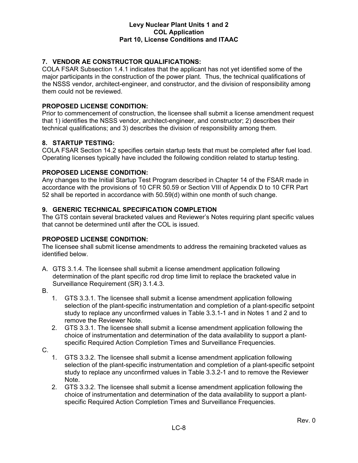# **7. VENDOR AE CONSTRUCTOR QUALIFICATIONS:**

COLA FSAR Subsection 1.4.1 indicates that the applicant has not yet identified some of the major participants in the construction of the power plant. Thus, the technical qualifications of the NSSS vendor, architect-engineer, and constructor, and the division of responsibility among them could not be reviewed.

# **PROPOSED LICENSE CONDITION:**

Prior to commencement of construction, the licensee shall submit a license amendment request that 1) identifies the NSSS vendor, architect-engineer, and constructor; 2) describes their technical qualifications; and 3) describes the division of responsibility among them.

# **8. STARTUP TESTING:**

COLA FSAR Section 14.2 specifies certain startup tests that must be completed after fuel load. Operating licenses typically have included the following condition related to startup testing.

# **PROPOSED LICENSE CONDITION:**

Any changes to the Initial Startup Test Program described in Chapter 14 of the FSAR made in accordance with the provisions of 10 CFR 50.59 or Section VIII of Appendix D to 10 CFR Part 52 shall be reported in accordance with 50.59(d) within one month of such change.

# **9. GENERIC TECHNICAL SPECIFICATION COMPLETION**

The GTS contain several bracketed values and Reviewer's Notes requiring plant specific values that cannot be determined until after the COL is issued.

# **PROPOSED LICENSE CONDITION:**

The licensee shall submit license amendments to address the remaining bracketed values as identified below.

- A. GTS 3.1.4. The licensee shall submit a license amendment application following determination of the plant specific rod drop time limit to replace the bracketed value in Surveillance Requirement (SR) 3.1.4.3.
- B.
- 1. GTS 3.3.1. The licensee shall submit a license amendment application following selection of the plant-specific instrumentation and completion of a plant-specific setpoint study to replace any unconfirmed values in Table 3.3.1-1 and in Notes 1 and 2 and to remove the Reviewer Note.
- 2. GTS 3.3.1. The licensee shall submit a license amendment application following the choice of instrumentation and determination of the data availability to support a plantspecific Required Action Completion Times and Surveillance Frequencies.
- C.
- 1. GTS 3.3.2. The licensee shall submit a license amendment application following selection of the plant-specific instrumentation and completion of a plant-specific setpoint study to replace any unconfirmed values in Table 3.3.2-1 and to remove the Reviewer Note.
- 2. GTS 3.3.2. The licensee shall submit a license amendment application following the choice of instrumentation and determination of the data availability to support a plantspecific Required Action Completion Times and Surveillance Frequencies.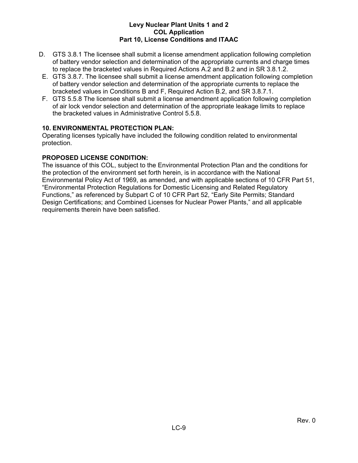- D. GTS 3.8.1 The licensee shall submit a license amendment application following completion of battery vendor selection and determination of the appropriate currents and charge times to replace the bracketed values in Required Actions A.2 and B.2 and in SR 3.8.1.2.
- E. GTS 3.8.7. The licensee shall submit a license amendment application following completion of battery vendor selection and determination of the appropriate currents to replace the bracketed values in Conditions B and F, Required Action B.2, and SR 3.8.7.1.
- F. GTS 5.5.8 The licensee shall submit a license amendment application following completion of air lock vendor selection and determination of the appropriate leakage limits to replace the bracketed values in Administrative Control 5.5.8.

# **10. ENVIRONMENTAL PROTECTION PLAN:**

Operating licenses typically have included the following condition related to environmental protection.

# **PROPOSED LICENSE CONDITION:**

The issuance of this COL, subject to the Environmental Protection Plan and the conditions for the protection of the environment set forth herein, is in accordance with the National Environmental Policy Act of 1969, as amended, and with applicable sections of 10 CFR Part 51, "Environmental Protection Regulations for Domestic Licensing and Related Regulatory Functions," as referenced by Subpart C of 10 CFR Part 52, "Early Site Permits; Standard Design Certifications; and Combined Licenses for Nuclear Power Plants," and all applicable requirements therein have been satisfied.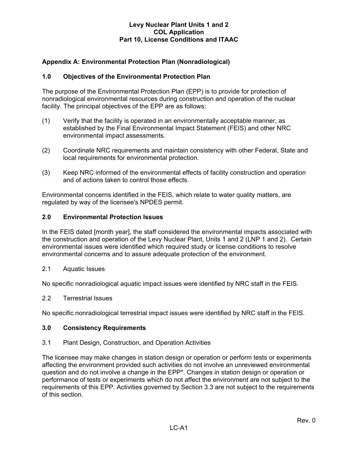# **Appendix A: Environmental Protection Plan (Nonradiological)**

# **1.0 Objectives of the Environmental Protection Plan**

The purpose of the Environmental Protection Plan (EPP) is to provide for protection of nonradiological environmental resources during construction and operation of the nuclear facility. The principal objectives of the EPP are as follows:

- (1) Verify that the facility is operated in an environmentally acceptable manner, as established by the Final Environmental Impact Statement (FEIS) and other NRC environmental impact assessments.
- (2) Coordinate NRC requirements and maintain consistency with other Federal, State and local requirements for environmental protection.
- (3) Keep NRC informed of the environmental effects of facility construction and operation and of actions taken to control those effects.

Environmental concerns identified in the FEIS, which relate to water quality matters, are regulated by way of the licensee's NPDES permit.

#### **2.0 Environmental Protection Issues**

In the FEIS dated [month year], the staff considered the environmental impacts associated with the construction and operation of the Levy Nuclear Plant, Units 1 and 2 (LNP 1 and 2). Certain environmental issues were identified which required study or license conditions to resolve environmental concerns and to assure adequate protection of the environment.

2.1 Aquatic Issues

No specific nonradiological aquatic impact issues were identified by NRC staff in the FEIS.

#### 2.2 Terrestrial Issues

No specific nonradiological terrestrial impact issues were identified by NRC staff in the FEIS.

#### **3.0 Consistency Requirements**

#### 3.1 Plant Design, Construction, and Operation Activities

The licensee may make changes in station design or operation or perform tests or experiments affecting the environment provided such activities do not involve an unreviewed environmental question and do not involve a change in the EPP\*. Changes in station design or operation or performance of tests or experiments which do not affect the environment are not subject to the requirements of this EPP. Activities governed by Section 3.3 are not subject to the requirements of this section.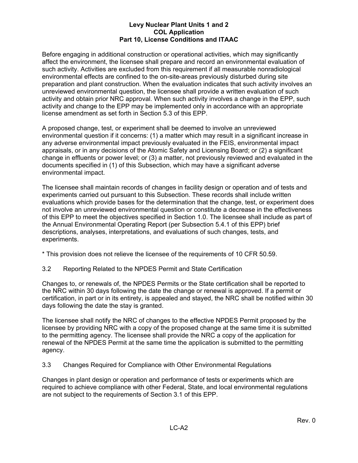Before engaging in additional construction or operational activities, which may significantly affect the environment, the licensee shall prepare and record an environmental evaluation of such activity. Activities are excluded from this requirement if all measurable nonradiological environmental effects are confined to the on-site-areas previously disturbed during site preparation and plant construction. When the evaluation indicates that such activity involves an unreviewed environmental question, the licensee shall provide a written evaluation of such activity and obtain prior NRC approval. When such activity involves a change in the EPP, such activity and change to the EPP may be implemented only in accordance with an appropriate license amendment as set forth in Section 5.3 of this EPP.

A proposed change, test, or experiment shall be deemed to involve an unreviewed environmental question if it concerns: (1) a matter which may result in a significant increase in any adverse environmental impact previously evaluated in the FEIS, environmental impact appraisals, or in any decisions of the Atomic Safety and Licensing Board; or (2) a significant change in effluents or power level; or (3) a matter, not previously reviewed and evaluated in the documents specified in (1) of this Subsection, which may have a significant adverse environmental impact.

The licensee shall maintain records of changes in facility design or operation and of tests and experiments carried out pursuant to this Subsection. These records shall include written evaluations which provide bases for the determination that the change, test, or experiment does not involve an unreviewed environmental question or constitute a decrease in the effectiveness of this EPP to meet the objectives specified in Section 1.0. The licensee shall include as part of the Annual Environmental Operating Report (per Subsection 5.4.1 of this EPP) brief descriptions, analyses, interpretations, and evaluations of such changes, tests, and experiments.

\* This provision does not relieve the licensee of the requirements of 10 CFR 50.59.

3.2 Reporting Related to the NPDES Permit and State Certification

Changes to, or renewals of, the NPDES Permits or the State certification shall be reported to the NRC within 30 days following the date the change or renewal is approved. If a permit or certification, in part or in its entirety, is appealed and stayed, the NRC shall be notified within 30 days following the date the stay is granted.

The licensee shall notify the NRC of changes to the effective NPDES Permit proposed by the licensee by providing NRC with a copy of the proposed change at the same time it is submitted to the permitting agency. The licensee shall provide the NRC a copy of the application for renewal of the NPDES Permit at the same time the application is submitted to the permitting agency.

3.3 Changes Required for Compliance with Other Environmental Regulations

Changes in plant design or operation and performance of tests or experiments which are required to achieve compliance with other Federal, State, and local environmental regulations are not subject to the requirements of Section 3.1 of this EPP.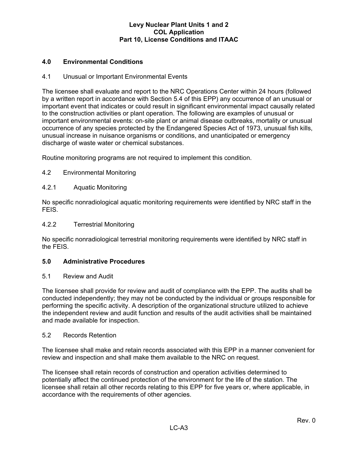# **4.0 Environmental Conditions**

#### 4.1 Unusual or Important Environmental Events

The licensee shall evaluate and report to the NRC Operations Center within 24 hours (followed by a written report in accordance with Section 5.4 of this EPP) any occurrence of an unusual or important event that indicates or could result in significant environmental impact causally related to the construction activities or plant operation. The following are examples of unusual or important environmental events: on-site plant or animal disease outbreaks, mortality or unusual occurrence of any species protected by the Endangered Species Act of 1973, unusual fish kills, unusual increase in nuisance organisms or conditions, and unanticipated or emergency discharge of waste water or chemical substances.

Routine monitoring programs are not required to implement this condition.

# 4.2 Environmental Monitoring

#### 4.2.1 Aquatic Monitoring

No specific nonradiological aquatic monitoring requirements were identified by NRC staff in the FEIS.

#### 4.2.2 Terrestrial Monitoring

No specific nonradiological terrestrial monitoring requirements were identified by NRC staff in the FEIS.

#### **5.0 Administrative Procedures**

#### 5.1 Review and Audit

The licensee shall provide for review and audit of compliance with the EPP. The audits shall be conducted independently; they may not be conducted by the individual or groups responsible for performing the specific activity. A description of the organizational structure utilized to achieve the independent review and audit function and results of the audit activities shall be maintained and made available for inspection.

#### 5.2 Records Retention

The licensee shall make and retain records associated with this EPP in a manner convenient for review and inspection and shall make them available to the NRC on request.

The licensee shall retain records of construction and operation activities determined to potentially affect the continued protection of the environment for the life of the station. The licensee shall retain all other records relating to this EPP for five years or, where applicable, in accordance with the requirements of other agencies.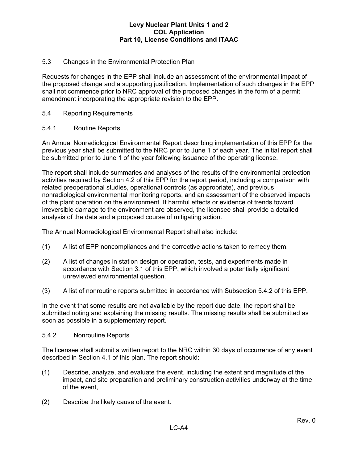# 5.3 Changes in the Environmental Protection Plan

Requests for changes in the EPP shall include an assessment of the environmental impact of the proposed change and a supporting justification. Implementation of such changes in the EPP shall not commence prior to NRC approval of the proposed changes in the form of a permit amendment incorporating the appropriate revision to the EPP.

# 5.4 Reporting Requirements

# 5.4.1 Routine Reports

An Annual Nonradiological Environmental Report describing implementation of this EPP for the previous year shall be submitted to the NRC prior to June 1 of each year. The initial report shall be submitted prior to June 1 of the year following issuance of the operating license.

The report shall include summaries and analyses of the results of the environmental protection activities required by Section 4.2 of this EPP for the report period, including a comparison with related preoperational studies, operational controls (as appropriate), and previous nonradiological environmental monitoring reports, and an assessment of the observed impacts of the plant operation on the environment. If harmful effects or evidence of trends toward irreversible damage to the environment are observed, the licensee shall provide a detailed analysis of the data and a proposed course of mitigating action.

The Annual Nonradiological Environmental Report shall also include:

- (1) A list of EPP noncompliances and the corrective actions taken to remedy them.
- (2) A list of changes in station design or operation, tests, and experiments made in accordance with Section 3.1 of this EPP, which involved a potentially significant unreviewed environmental question.
- (3) A list of nonroutine reports submitted in accordance with Subsection 5.4.2 of this EPP.

In the event that some results are not available by the report due date, the report shall be submitted noting and explaining the missing results. The missing results shall be submitted as soon as possible in a supplementary report.

#### 5.4.2 Nonroutine Reports

The licensee shall submit a written report to the NRC within 30 days of occurrence of any event described in Section 4.1 of this plan. The report should:

- (1) Describe, analyze, and evaluate the event, including the extent and magnitude of the impact, and site preparation and preliminary construction activities underway at the time of the event,
- (2) Describe the likely cause of the event.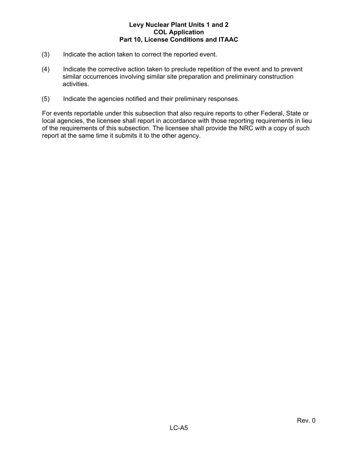- (3) Indicate the action taken to correct the reported event.
- (4) Indicate the corrective action taken to preclude repetition of the event and to prevent similar occurrences involving similar site preparation and preliminary construction activities.
- (5) Indicate the agencies notified and their preliminary responses.

For events reportable under this subsection that also require reports to other Federal, State or local agencies, the licensee shall report in accordance with those reporting requirements in lieu of the requirements of this subsection. The licensee shall provide the NRC with a copy of such report at the same time it submits it to the other agency.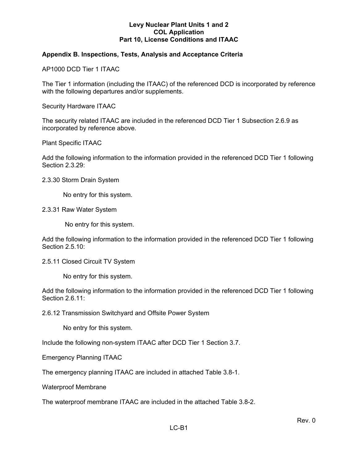# **Appendix B. Inspections, Tests, Analysis and Acceptance Criteria**

AP1000 DCD Tier 1 ITAAC

The Tier 1 information (including the ITAAC) of the referenced DCD is incorporated by reference with the following departures and/or supplements.

Security Hardware ITAAC

The security related ITAAC are included in the referenced DCD Tier 1 Subsection 2.6.9 as incorporated by reference above.

Plant Specific ITAAC

Add the following information to the information provided in the referenced DCD Tier 1 following Section 2.3.29:

2.3.30 Storm Drain System

No entry for this system.

2.3.31 Raw Water System

No entry for this system.

Add the following information to the information provided in the referenced DCD Tier 1 following Section 2.5.10:

2.5.11 Closed Circuit TV System

No entry for this system.

Add the following information to the information provided in the referenced DCD Tier 1 following Section 2.6.11:

2.6.12 Transmission Switchyard and Offsite Power System

No entry for this system.

Include the following non-system ITAAC after DCD Tier 1 Section 3.7.

Emergency Planning ITAAC

The emergency planning ITAAC are included in attached Table 3.8-1.

Waterproof Membrane

The waterproof membrane ITAAC are included in the attached Table 3.8-2.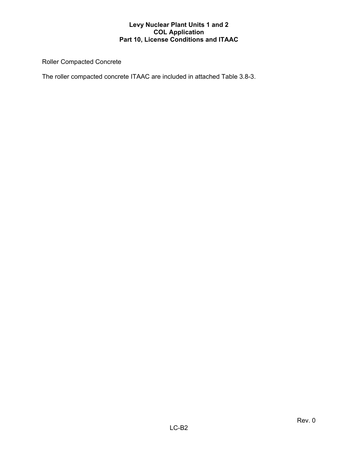Roller Compacted Concrete

The roller compacted concrete ITAAC are included in attached Table 3.8-3.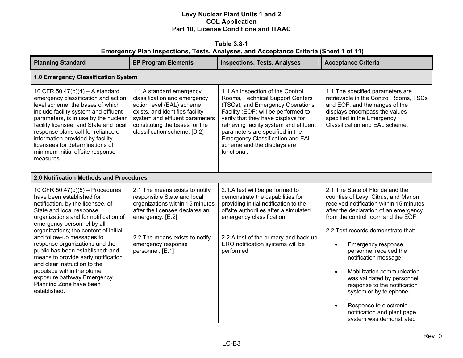| Emergency Plan Inspections, Tests, Analyses, and Acceptance Criteria (Sheet 1 of 11)                                                                                                                                                                                                                                                                                                                                                                                                                                            |                                                                                                                                                                                                                                    |                                                                                                                                                                                                                                                                                                                                                              |                                                                                                                                                                                                                                                                                                                                                                                                                                                                                                                                                                     |  |
|---------------------------------------------------------------------------------------------------------------------------------------------------------------------------------------------------------------------------------------------------------------------------------------------------------------------------------------------------------------------------------------------------------------------------------------------------------------------------------------------------------------------------------|------------------------------------------------------------------------------------------------------------------------------------------------------------------------------------------------------------------------------------|--------------------------------------------------------------------------------------------------------------------------------------------------------------------------------------------------------------------------------------------------------------------------------------------------------------------------------------------------------------|---------------------------------------------------------------------------------------------------------------------------------------------------------------------------------------------------------------------------------------------------------------------------------------------------------------------------------------------------------------------------------------------------------------------------------------------------------------------------------------------------------------------------------------------------------------------|--|
| <b>Planning Standard</b>                                                                                                                                                                                                                                                                                                                                                                                                                                                                                                        | <b>EP Program Elements</b>                                                                                                                                                                                                         | <b>Inspections, Tests, Analyses</b>                                                                                                                                                                                                                                                                                                                          | <b>Acceptance Criteria</b>                                                                                                                                                                                                                                                                                                                                                                                                                                                                                                                                          |  |
| 1.0 Emergency Classification System                                                                                                                                                                                                                                                                                                                                                                                                                                                                                             |                                                                                                                                                                                                                                    |                                                                                                                                                                                                                                                                                                                                                              |                                                                                                                                                                                                                                                                                                                                                                                                                                                                                                                                                                     |  |
| 10 CFR 50.47(b)(4) - A standard<br>emergency classification and action<br>level scheme, the bases of which<br>include facility system and effluent<br>parameters, is in use by the nuclear<br>facility licensee, and State and local<br>response plans call for reliance on<br>information provided by facility<br>licensees for determinations of<br>minimum initial offsite response<br>measures.                                                                                                                             | 1.1 A standard emergency<br>classification and emergency<br>action level (EAL) scheme<br>exists, and identifies facility<br>system and effluent parameters<br>constituting the bases for the<br>classification scheme. [D.2]       | 1.1 An inspection of the Control<br>Rooms, Technical Support Centers<br>(TSCs), and Emergency Operations<br>Facility (EOF) will be performed to<br>verify that they have displays for<br>retrieving facility system and effluent<br>parameters are specified in the<br><b>Emergency Classification and EAL</b><br>scheme and the displays are<br>functional. | 1.1 The specified parameters are<br>retrievable in the Control Rooms, TSCs<br>and EOF, and the ranges of the<br>displays encompass the values<br>specified in the Emergency<br>Classification and EAL scheme.                                                                                                                                                                                                                                                                                                                                                       |  |
| 2.0 Notification Methods and Procedures                                                                                                                                                                                                                                                                                                                                                                                                                                                                                         |                                                                                                                                                                                                                                    |                                                                                                                                                                                                                                                                                                                                                              |                                                                                                                                                                                                                                                                                                                                                                                                                                                                                                                                                                     |  |
| 10 CFR $50.47(b)(5)$ – Procedures<br>have been established for<br>notification, by the licensee, of<br>State and local response<br>organizations and for notification of<br>emergency personnel by all<br>organizations; the content of initial<br>and follow-up messages to<br>response organizations and the<br>public has been established; and<br>means to provide early notification<br>and clear instruction to the<br>populace within the plume<br>exposure pathway Emergency<br>Planning Zone have been<br>established. | 2.1 The means exists to notify<br>responsible State and local<br>organizations within 15 minutes<br>after the licensee declares an<br>emergency. [E.2]<br>2.2 The means exists to notify<br>emergency response<br>personnel. [E.1] | 2.1.A test will be performed to<br>demonstrate the capabilities for<br>providing initial notification to the<br>offsite authorities after a simulated<br>emergency classification.<br>2.2 A test of the primary and back-up<br>ERO notification systems will be<br>performed.                                                                                | 2.1 The State of Florida and the<br>counties of Levy, Citrus, and Marion<br>received notification within 15 minutes<br>after the declaration of an emergency<br>from the control room and the EOF.<br>2.2 Test records demonstrate that:<br>Emergency response<br>$\bullet$<br>personnel received the<br>notification message;<br>Mobilization communication<br>$\bullet$<br>was validated by personnel<br>response to the notification<br>system or by telephone;<br>Response to electronic<br>$\bullet$<br>notification and plant page<br>system was demonstrated |  |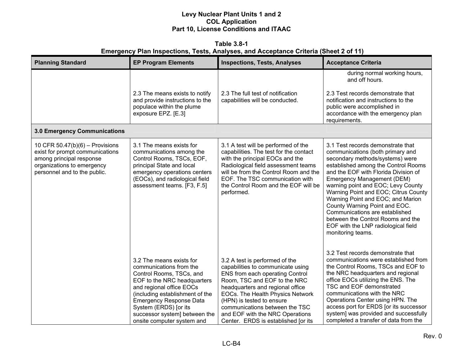**Table 3.8-1 Emergency Plan Inspections, Tests, Analyses, and Acceptance Criteria (Sheet 2 of 11)** 

| <b>Planning Standard</b>                                                                                                                                     | <b>EP Program Elements</b>                                                                                                                                                                                                                                                                              | <b>Inspections, Tests, Analyses</b>                                                                                                                                                                                                                                                                                                                     | <b>Acceptance Criteria</b>                                                                                                                                                                                                                                                                                                                                                                                                                                                                                   |
|--------------------------------------------------------------------------------------------------------------------------------------------------------------|---------------------------------------------------------------------------------------------------------------------------------------------------------------------------------------------------------------------------------------------------------------------------------------------------------|---------------------------------------------------------------------------------------------------------------------------------------------------------------------------------------------------------------------------------------------------------------------------------------------------------------------------------------------------------|--------------------------------------------------------------------------------------------------------------------------------------------------------------------------------------------------------------------------------------------------------------------------------------------------------------------------------------------------------------------------------------------------------------------------------------------------------------------------------------------------------------|
| 3.0 Emergency Communications                                                                                                                                 | 2.3 The means exists to notify<br>and provide instructions to the<br>populace within the plume<br>exposure EPZ. [E.3]                                                                                                                                                                                   | 2.3 The full test of notification<br>capabilities will be conducted.                                                                                                                                                                                                                                                                                    | during normal working hours,<br>and off hours.<br>2.3 Test records demonstrate that<br>notification and instructions to the<br>public were accomplished in<br>accordance with the emergency plan<br>requirements.                                                                                                                                                                                                                                                                                            |
|                                                                                                                                                              |                                                                                                                                                                                                                                                                                                         |                                                                                                                                                                                                                                                                                                                                                         |                                                                                                                                                                                                                                                                                                                                                                                                                                                                                                              |
| 10 CFR 50.47(b)(6) - Provisions<br>exist for prompt communications<br>among principal response<br>organizations to emergency<br>personnel and to the public. | 3.1 The means exists for<br>communications among the<br>Control Rooms, TSCs, EOF,<br>principal State and local<br>emergency operations centers<br>(EOCs), and radiological field<br>assessment teams. [F3, F.5]                                                                                         | 3.1 A test will be performed of the<br>capabilities. The test for the contact<br>with the principal EOCs and the<br>Radiological field assessment teams<br>will be from the Control Room and the<br>EOF. The TSC communication with<br>the Control Room and the EOF will be<br>performed.                                                               | 3.1 Test records demonstrate that<br>communications (both primary and<br>secondary methods/systems) were<br>established among the Control Rooms<br>and the EOF with Florida Division of<br>Emergency Management (DEM)<br>warning point and EOC; Levy County<br>Warning Point and EOC; Citrus County<br>Warning Point and EOC; and Marion<br>County Warning Point and EOC.<br>Communications are established<br>between the Control Rooms and the<br>EOF with the LNP radiological field<br>monitoring teams. |
|                                                                                                                                                              | 3.2 The means exists for<br>communications from the<br>Control Rooms, TSCs, and<br>EOF to the NRC headquarters<br>and regional office EOCs<br>(including establishment of the<br><b>Emergency Response Data</b><br>System (ERDS) [or its<br>successor system] between the<br>onsite computer system and | 3.2 A test is performed of the<br>capabilities to communicate using<br>ENS from each operating Control<br>Room, TSC and EOF to the NRC<br>headquarters and regional office<br>EOCs. The Health Physics Network<br>(HPN) is tested to ensure<br>communications between the TSC<br>and EOF with the NRC Operations<br>Center. ERDS is established [or its | 3.2 Test records demonstrate that<br>communications were established from<br>the Control Rooms, TSCs and EOF to<br>the NRC headquarters and regional<br>office EOCs utilizing the ENS. The<br>TSC and EOF demonstrated<br>communications with the NRC<br>Operations Center using HPN. The<br>access port for ERDS [or its successor<br>system] was provided and successfully<br>completed a transfer of data from the                                                                                        |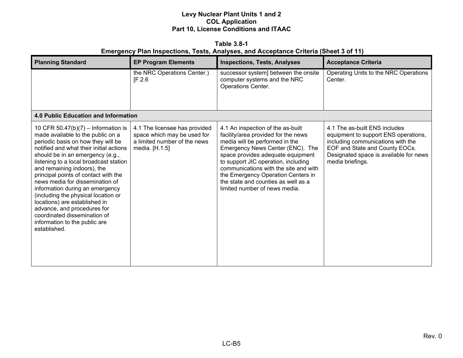**Table 3.8-1** 

# **Emergency Plan Inspections, Tests, Analyses, and Acceptance Criteria (Sheet 3 of 11)**

| <b>Planning Standard</b>                                                                                                                                                                                                                                                                                                                                                                                                                                                                                                                                                     | <b>EP Program Elements</b>                                                                                     | <b>Inspections, Tests, Analyses</b>                                                                                                                                                                                                                                                                                                                                               | <b>Acceptance Criteria</b>                                                                                                                                                                                 |
|------------------------------------------------------------------------------------------------------------------------------------------------------------------------------------------------------------------------------------------------------------------------------------------------------------------------------------------------------------------------------------------------------------------------------------------------------------------------------------------------------------------------------------------------------------------------------|----------------------------------------------------------------------------------------------------------------|-----------------------------------------------------------------------------------------------------------------------------------------------------------------------------------------------------------------------------------------------------------------------------------------------------------------------------------------------------------------------------------|------------------------------------------------------------------------------------------------------------------------------------------------------------------------------------------------------------|
|                                                                                                                                                                                                                                                                                                                                                                                                                                                                                                                                                                              | the NRC Operations Center.)<br>[F.2.6]                                                                         | successor system] between the onsite<br>computer systems and the NRC<br><b>Operations Center.</b>                                                                                                                                                                                                                                                                                 | Operating Units to the NRC Operations<br>Center.                                                                                                                                                           |
| 4.0 Public Education and Information                                                                                                                                                                                                                                                                                                                                                                                                                                                                                                                                         |                                                                                                                |                                                                                                                                                                                                                                                                                                                                                                                   |                                                                                                                                                                                                            |
| 10 CFR 50.47(b)(7) – Information is<br>made available to the public on a<br>periodic basis on how they will be<br>notified and what their initial actions<br>should be in an emergency (e.g.,<br>listening to a local broadcast station<br>and remaining indoors), the<br>principal points of contact with the<br>news media for dissemination of<br>information during an emergency<br>(including the physical location or<br>locations) are established in<br>advance, and procedures for<br>coordinated dissemination of<br>information to the public are<br>established. | 4.1 The licensee has provided<br>space which may be used for<br>a limited number of the news<br>media. [H.1.5] | 4.1 An inspection of the as-built<br>facility/area provided for the news<br>media will be performed in the<br>Emergency News Center (ENC). The<br>space provides adequate equipment<br>to support JIC operation, including<br>communications with the site and with<br>the Emergency Operation Centers in<br>the state and counties as well as a<br>limited number of news media. | 4.1 The as-built ENS includes<br>equipment to support ENS operations,<br>including communications with the<br>EOF and State and County EOCs.<br>Designated space is available for news<br>media briefings. |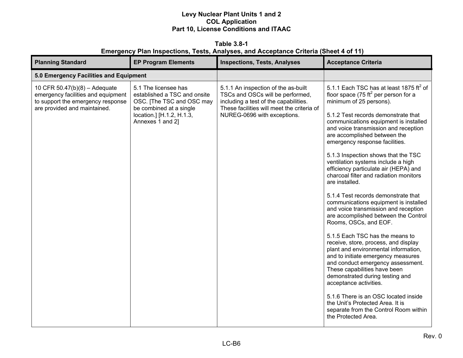**Table 3.8-1 Emergency Plan Inspections, Tests, Analyses, and Acceptance Criteria (Sheet 4 of 11)** 

| <b>Planning Standard</b>                                                                                                                 | <b>EP Program Elements</b>                                                                                                                                    | <b>Inspections, Tests, Analyses</b>                                                                                                                                                           | <b>Acceptance Criteria</b>                                                                                                                                                                                                                                                                                                                                                                                                                                                                                                                                                                                                                                                                                                                                                                                                                                                                                                                                                                                                                                                                                                                   |
|------------------------------------------------------------------------------------------------------------------------------------------|---------------------------------------------------------------------------------------------------------------------------------------------------------------|-----------------------------------------------------------------------------------------------------------------------------------------------------------------------------------------------|----------------------------------------------------------------------------------------------------------------------------------------------------------------------------------------------------------------------------------------------------------------------------------------------------------------------------------------------------------------------------------------------------------------------------------------------------------------------------------------------------------------------------------------------------------------------------------------------------------------------------------------------------------------------------------------------------------------------------------------------------------------------------------------------------------------------------------------------------------------------------------------------------------------------------------------------------------------------------------------------------------------------------------------------------------------------------------------------------------------------------------------------|
| 5.0 Emergency Facilities and Equipment                                                                                                   |                                                                                                                                                               |                                                                                                                                                                                               |                                                                                                                                                                                                                                                                                                                                                                                                                                                                                                                                                                                                                                                                                                                                                                                                                                                                                                                                                                                                                                                                                                                                              |
| 10 CFR 50.47(b)(8) - Adequate<br>emergency facilities and equipment<br>to support the emergency response<br>are provided and maintained. | 5.1 The licensee has<br>established a TSC and onsite<br>OSC. [The TSC and OSC may<br>be combined at a single<br>location.] [H.1.2, H.1.3,<br>Annexes 1 and 2] | 5.1.1 An inspection of the as-built<br>TSCs and OSCs will be performed,<br>including a test of the capabilities.<br>These facilities will meet the criteria of<br>NUREG-0696 with exceptions. | 5.1.1 Each TSC has at least 1875 $\text{ft}^2$ of<br>floor space (75 ft <sup>2</sup> per person for a<br>minimum of 25 persons).<br>5.1.2 Test records demonstrate that<br>communications equipment is installed<br>and voice transmission and reception<br>are accomplished between the<br>emergency response facilities.<br>5.1.3 Inspection shows that the TSC<br>ventilation systems include a high<br>efficiency particulate air (HEPA) and<br>charcoal filter and radiation monitors<br>are installed.<br>5.1.4 Test records demonstrate that<br>communications equipment is installed<br>and voice transmission and reception<br>are accomplished between the Control<br>Rooms, OSCs, and EOF.<br>5.1.5 Each TSC has the means to<br>receive, store, process, and display<br>plant and environmental information,<br>and to initiate emergency measures<br>and conduct emergency assessment.<br>These capabilities have been<br>demonstrated during testing and<br>acceptance activities.<br>5.1.6 There is an OSC located inside<br>the Unit's Protected Area. It is<br>separate from the Control Room within<br>the Protected Area. |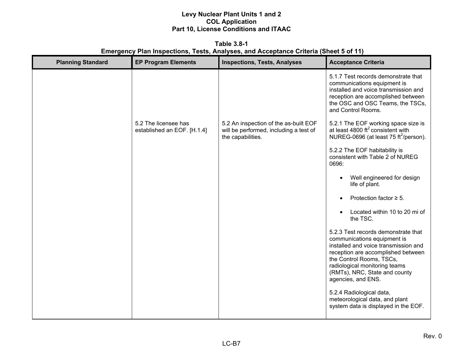**Table 3.8-1 Emergency Plan Inspections, Tests, Analyses, and Acceptance Criteria (Sheet 5 of 11)** 

| <b>Planning Standard</b> | <b>EP Program Elements</b>                          | <b>Inspections, Tests, Analyses</b>                                                                  | <b>Acceptance Criteria</b>                                                                                                                                                                                                                                           |
|--------------------------|-----------------------------------------------------|------------------------------------------------------------------------------------------------------|----------------------------------------------------------------------------------------------------------------------------------------------------------------------------------------------------------------------------------------------------------------------|
|                          |                                                     |                                                                                                      | 5.1.7 Test records demonstrate that<br>communications equipment is<br>installed and voice transmission and<br>reception are accomplished between<br>the OSC and OSC Teams, the TSCs,<br>and Control Rooms.                                                           |
|                          | 5.2 The licensee has<br>established an EOF. [H.1.4] | 5.2 An inspection of the as-built EOF<br>will be performed, including a test of<br>the capabilities. | 5.2.1 The EOF working space size is at least 4800 ft <sup>2</sup> consistent with<br>NUREG-0696 (at least 75 ft <sup>2</sup> /person).                                                                                                                               |
|                          |                                                     |                                                                                                      | 5.2.2 The EOF habitability is<br>consistent with Table 2 of NUREG<br>0696:                                                                                                                                                                                           |
|                          |                                                     |                                                                                                      | Well engineered for design<br>life of plant.                                                                                                                                                                                                                         |
|                          |                                                     |                                                                                                      | Protection factor $\geq$ 5.                                                                                                                                                                                                                                          |
|                          |                                                     |                                                                                                      | Located within 10 to 20 mi of<br>the TSC.                                                                                                                                                                                                                            |
|                          |                                                     |                                                                                                      | 5.2.3 Test records demonstrate that<br>communications equipment is<br>installed and voice transmission and<br>reception are accomplished between<br>the Control Rooms, TSCs,<br>radiological monitoring teams<br>(RMTs), NRC, State and county<br>agencies, and ENS. |
|                          |                                                     |                                                                                                      | 5.2.4 Radiological data,<br>meteorological data, and plant<br>system data is displayed in the EOF.                                                                                                                                                                   |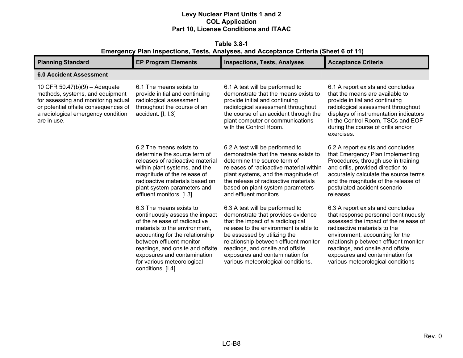**Table 3.8-1 Emergency Plan Inspections, Tests, Analyses, and Acceptance Criteria (Sheet 6 of 11)** 

| <b>Planning Standard</b>                                                                                                                                                                               | <b>EP Program Elements</b>                                                                                                                                                                                                                                                                                       | <b>Inspections, Tests, Analyses</b>                                                                                                                                                                                                                                                                                                       | <b>Acceptance Criteria</b>                                                                                                                                                                                                                                                                                                                 |  |  |  |
|--------------------------------------------------------------------------------------------------------------------------------------------------------------------------------------------------------|------------------------------------------------------------------------------------------------------------------------------------------------------------------------------------------------------------------------------------------------------------------------------------------------------------------|-------------------------------------------------------------------------------------------------------------------------------------------------------------------------------------------------------------------------------------------------------------------------------------------------------------------------------------------|--------------------------------------------------------------------------------------------------------------------------------------------------------------------------------------------------------------------------------------------------------------------------------------------------------------------------------------------|--|--|--|
| <b>6.0 Accident Assessment</b>                                                                                                                                                                         |                                                                                                                                                                                                                                                                                                                  |                                                                                                                                                                                                                                                                                                                                           |                                                                                                                                                                                                                                                                                                                                            |  |  |  |
| 10 CFR $50.47(b)(9) -$ Adequate<br>methods, systems, and equipment<br>for assessing and monitoring actual<br>or potential offsite consequences of<br>a radiological emergency condition<br>are in use. | 6.1 The means exists to<br>provide initial and continuing<br>radiological assessment<br>throughout the course of an<br>accident. [I, I.3]                                                                                                                                                                        | 6.1 A test will be performed to<br>demonstrate that the means exists to<br>provide initial and continuing<br>radiological assessment throughout<br>the course of an accident through the<br>plant computer or communications<br>with the Control Room.                                                                                    | 6.1 A report exists and concludes<br>that the means are available to<br>provide initial and continuing<br>radiological assessment throughout<br>displays of instrumentation indicators<br>in the Control Room, TSCs and EOF<br>during the course of drills and/or<br>exercises.                                                            |  |  |  |
|                                                                                                                                                                                                        | 6.2 The means exists to<br>determine the source term of<br>releases of radioactive material<br>within plant systems, and the<br>magnitude of the release of<br>radioactive materials based on<br>plant system parameters and<br>effluent monitors. [1.3]                                                         | 6.2 A test will be performed to<br>demonstrate that the means exists to<br>determine the source term of<br>releases of radioactive material within<br>plant systems, and the magnitude of<br>the release of radioactive materials<br>based on plant system parameters<br>and effluent monitors.                                           | 6.2 A report exists and concludes<br>that Emergency Plan Implementing<br>Procedures, through use in training<br>and drills, provided direction to<br>accurately calculate the source terms<br>and the magnitude of the release of<br>postulated accident scenario<br>releases.                                                             |  |  |  |
|                                                                                                                                                                                                        | 6.3 The means exists to<br>continuously assess the impact<br>of the release of radioactive<br>materials to the environment,<br>accounting for the relationship<br>between effluent monitor<br>readings, and onsite and offsite<br>exposures and contamination<br>for various meteorological<br>conditions. [I.4] | 6.3 A test will be performed to<br>demonstrate that provides evidence<br>that the impact of a radiological<br>release to the environment is able to<br>be assessed by utilizing the<br>relationship between effluent monitor<br>readings, and onsite and offsite<br>exposures and contamination for<br>various meteorological conditions. | 6.3 A report exists and concludes<br>that response personnel continuously<br>assessed the impact of the release of<br>radioactive materials to the<br>environment, accounting for the<br>relationship between effluent monitor<br>readings, and onsite and offsite<br>exposures and contamination for<br>various meteorological conditions |  |  |  |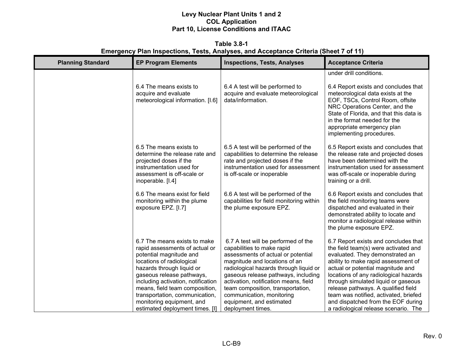**Table 3.8-1 Emergency Plan Inspections, Tests, Analyses, and Acceptance Criteria (Sheet 7 of 11)** 

| <b>Planning Standard</b> | <b>EP Program Elements</b>                                                                                                                                                                                                                                                                                                                                 | <b>Inspections, Tests, Analyses</b>                                                                                                                                                                                                                                                                                                                                                   | <b>Acceptance Criteria</b>                                                                                                                                                                                                                                                                                                                                                                                                                |
|--------------------------|------------------------------------------------------------------------------------------------------------------------------------------------------------------------------------------------------------------------------------------------------------------------------------------------------------------------------------------------------------|---------------------------------------------------------------------------------------------------------------------------------------------------------------------------------------------------------------------------------------------------------------------------------------------------------------------------------------------------------------------------------------|-------------------------------------------------------------------------------------------------------------------------------------------------------------------------------------------------------------------------------------------------------------------------------------------------------------------------------------------------------------------------------------------------------------------------------------------|
|                          |                                                                                                                                                                                                                                                                                                                                                            |                                                                                                                                                                                                                                                                                                                                                                                       | under drill conditions.                                                                                                                                                                                                                                                                                                                                                                                                                   |
|                          | 6.4 The means exists to<br>acquire and evaluate<br>meteorological information. [I.6]                                                                                                                                                                                                                                                                       | 6.4 A test will be performed to<br>acquire and evaluate meteorological<br>data/information.                                                                                                                                                                                                                                                                                           | 6.4 Report exists and concludes that<br>meteorological data exists at the<br>EOF, TSCs, Control Room, offsite<br>NRC Operations Center, and the<br>State of Florida, and that this data is<br>in the format needed for the<br>appropriate emergency plan<br>implementing procedures.                                                                                                                                                      |
|                          | 6.5 The means exists to<br>determine the release rate and<br>projected doses if the<br>instrumentation used for<br>assessment is off-scale or<br>inoperable. [I.4]                                                                                                                                                                                         | 6.5 A test will be performed of the<br>capabilities to determine the release<br>rate and projected doses if the<br>instrumentation used for assessment<br>is off-scale or inoperable                                                                                                                                                                                                  | 6.5 Report exists and concludes that<br>the release rate and projected doses<br>have been determined with the<br>instrumentation used for assessment<br>was off-scale or inoperable during<br>training or a drill.                                                                                                                                                                                                                        |
|                          | 6.6 The means exist for field<br>monitoring within the plume<br>exposure EPZ. [I.7]                                                                                                                                                                                                                                                                        | 6.6 A test will be performed of the<br>capabilities for field monitoring within<br>the plume exposure EPZ.                                                                                                                                                                                                                                                                            | 6.6 Report exists and concludes that<br>the field monitoring teams were<br>dispatched and evaluated in their<br>demonstrated ability to locate and<br>monitor a radiological release within<br>the plume exposure EPZ.                                                                                                                                                                                                                    |
|                          | 6.7 The means exists to make<br>rapid assessments of actual or<br>potential magnitude and<br>locations of radiological<br>hazards through liquid or<br>gaseous release pathways,<br>including activation, notification<br>means, field team composition,<br>transportation, communication,<br>monitoring equipment, and<br>estimated deployment times. [I] | 6.7 A test will be performed of the<br>capabilities to make rapid<br>assessments of actual or potential<br>magnitude and locations of an<br>radiological hazards through liquid or<br>gaseous release pathways, including<br>activation, notification means, field<br>team composition, transportation,<br>communication, monitoring<br>equipment, and estimated<br>deployment times. | 6.7 Report exists and concludes that<br>the field team(s) were activated and<br>evaluated. They demonstrated an<br>ability to make rapid assessment of<br>actual or potential magnitude and<br>locations of any radiological hazards<br>through simulated liquid or gaseous<br>release pathways. A qualified field<br>team was notified, activated, briefed<br>and dispatched from the EOF during<br>a radiological release scenario. The |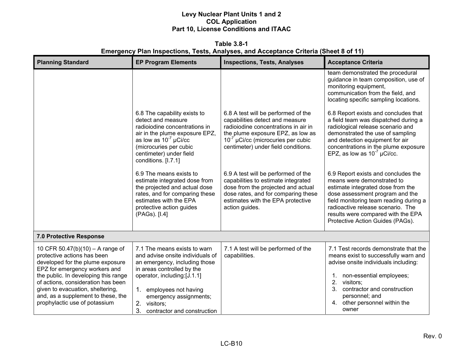**Table 3.8-1 Emergency Plan Inspections, Tests, Analyses, and Acceptance Criteria (Sheet 8 of 11)** 

| <b>Planning Standard</b>                                                                                                                                                                                                                                                                                                      | <b>EP Program Elements</b>                                                                                                                                                                                                                                               | <b>Inspections, Tests, Analyses</b>                                                                                                                                                                                                   | <b>Acceptance Criteria</b>                                                                                                                                                                                                                                                                         |
|-------------------------------------------------------------------------------------------------------------------------------------------------------------------------------------------------------------------------------------------------------------------------------------------------------------------------------|--------------------------------------------------------------------------------------------------------------------------------------------------------------------------------------------------------------------------------------------------------------------------|---------------------------------------------------------------------------------------------------------------------------------------------------------------------------------------------------------------------------------------|----------------------------------------------------------------------------------------------------------------------------------------------------------------------------------------------------------------------------------------------------------------------------------------------------|
|                                                                                                                                                                                                                                                                                                                               |                                                                                                                                                                                                                                                                          |                                                                                                                                                                                                                                       | team demonstrated the procedural<br>guidance in team composition, use of<br>monitoring equipment,<br>communication from the field, and<br>locating specific sampling locations.                                                                                                                    |
|                                                                                                                                                                                                                                                                                                                               | 6.8 The capability exists to<br>detect and measure<br>radioiodine concentrations in<br>air in the plume exposure EPZ,<br>as low as $10^{-7}$ µCi/cc<br>(microcuries per cubic<br>centimeter) under field<br>conditions. [I.7.1]                                          | 6.8 A test will be performed of the<br>capabilities detect and measure<br>radioiodine concentrations in air in<br>the plume exposure EPZ, as low as<br>$10^{-7}$ µCi/cc (microcuries per cubic<br>centimeter) under field conditions. | 6.8 Report exists and concludes that<br>a field team was dispatched during a<br>radiological release scenario and<br>demonstrated the use of sampling<br>and detection equipment for air<br>concentrations in the plume exposure<br>EPZ, as low as $10^{-7}$ µCi/cc.                               |
|                                                                                                                                                                                                                                                                                                                               | 6.9 The means exists to<br>estimate integrated dose from<br>the projected and actual dose<br>rates, and for comparing these<br>estimates with the EPA<br>protective action guides<br>(PAGs). [I.4]                                                                       | 6.9 A test will be performed of the<br>capabilities to estimate integrated<br>dose from the projected and actual<br>dose rates, and for comparing these<br>estimates with the EPA protective<br>action guides.                        | 6.9 Report exists and concludes the<br>means were demonstrated to<br>estimate integrated dose from the<br>dose assessment program and the<br>field monitoring team reading during a<br>radioactive release scenario. The<br>results were compared with the EPA<br>Protective Action Guides (PAGs). |
| 7.0 Protective Response                                                                                                                                                                                                                                                                                                       |                                                                                                                                                                                                                                                                          |                                                                                                                                                                                                                                       |                                                                                                                                                                                                                                                                                                    |
| 10 CFR 50.47(b)(10) - A range of<br>protective actions has been<br>developed for the plume exposure<br>EPZ for emergency workers and<br>the public. In developing this range<br>of actions, consideration has been<br>given to evacuation, sheltering,<br>and, as a supplement to these, the<br>prophylactic use of potassium | 7.1 The means exists to warn<br>and advise onsite individuals of<br>an emergency, including those<br>in areas controlled by the<br>operator, including:[J.1.1]<br>1. employees not having<br>emergency assignments;<br>2. visitors;<br>3.<br>contractor and construction | 7.1 A test will be performed of the<br>capabilities.                                                                                                                                                                                  | 7.1 Test records demonstrate that the<br>means exist to successfully warn and<br>advise onsite individuals including:<br>1. non-essential employees;<br>2.<br>visitors;<br>contractor and construction<br>3 <sub>1</sub><br>personnel; and<br>other personnel within the<br>4.<br>owner            |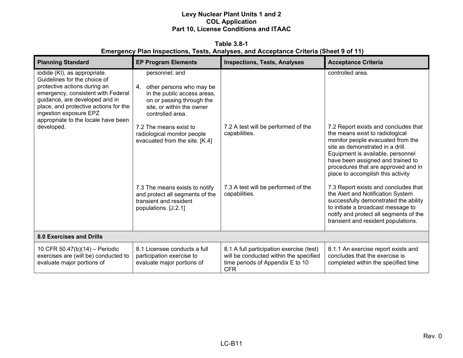| Table 3.8-1                                                                                 |  |  |  |
|---------------------------------------------------------------------------------------------|--|--|--|
| <b>Emergency Plan Inspections, Tests, Analyses, and Acceptance Criteria (Sheet 9 of 11)</b> |  |  |  |

| <b>Planning Standard</b>                                                                                                                                                                                                                                                       | <b>EP Program Elements</b>                                                                                                                                 | <b>Inspections, Tests, Analyses</b>                                                                                                  | <b>Acceptance Criteria</b>                                                                                                                                                                                                                                                                             |
|--------------------------------------------------------------------------------------------------------------------------------------------------------------------------------------------------------------------------------------------------------------------------------|------------------------------------------------------------------------------------------------------------------------------------------------------------|--------------------------------------------------------------------------------------------------------------------------------------|--------------------------------------------------------------------------------------------------------------------------------------------------------------------------------------------------------------------------------------------------------------------------------------------------------|
| iodide (KI), as appropriate.<br>Guidelines for the choice of<br>protective actions during an<br>emergency, consistent with Federal<br>guidance, are developed and in<br>place, and protective actions for the<br>ingestion exposure EPZ<br>appropriate to the locale have been | personnel; and<br>4. other persons who may be<br>in the public access areas,<br>on or passing through the<br>site, or within the owner<br>controlled area. |                                                                                                                                      | controlled area.                                                                                                                                                                                                                                                                                       |
| developed.                                                                                                                                                                                                                                                                     | 7.2 The means exist to<br>radiological monitor people<br>evacuated from the site. [K.4]                                                                    | 7.2 A test will be performed of the<br>capabilities.                                                                                 | 7.2 Report exists and concludes that<br>the means exist to radiological<br>monitor people evacuated from the<br>site as demonstrated in a drill.<br>Equipment is available, personnel<br>have been assigned and trained to<br>procedures that are approved and in<br>place to accomplish this activity |
|                                                                                                                                                                                                                                                                                | 7.3 The means exists to notify<br>and protect all segments of the<br>transient and resident<br>populations. [J.2.1]                                        | 7.3 A test will be performed of the<br>capabilities.                                                                                 | 7.3 Report exists and concludes that<br>the Alert and Notification System<br>successfully demonstrated the ability<br>to initiate a broadcast message to<br>notify and protect all segments of the<br>transient and resident populations.                                                              |
| 8.0 Exercises and Drills                                                                                                                                                                                                                                                       |                                                                                                                                                            |                                                                                                                                      |                                                                                                                                                                                                                                                                                                        |
| 10 CFR 50.47(b)(14) - Periodic<br>exercises are (will be) conducted to<br>evaluate major portions of                                                                                                                                                                           | 8.1 Licensee conducts a full<br>participation exercise to<br>evaluate major portions of                                                                    | 8.1 A full participation exercise (test)<br>will be conducted within the specified<br>time periods of Appendix E to 10<br><b>CFR</b> | 8.1.1 An exercise report exists and<br>concludes that the exercise is<br>completed within the specified time                                                                                                                                                                                           |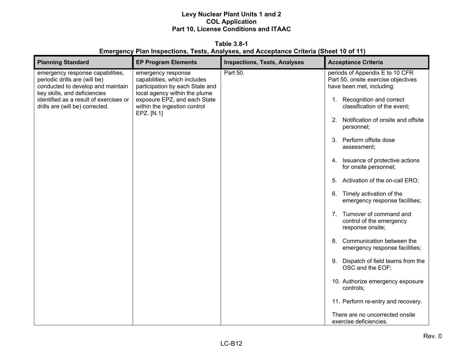**Table 3.8-1 Emergency Plan Inspections, Tests, Analyses, and Acceptance Criteria (Sheet 10 of 11)**

| <b>Planning Standard</b>                                                                                                                                                                                            | <b>EP Program Elements</b>                                                                                                                                                                           | <b>Inspections, Tests, Analyses</b> | <b>Acceptance Criteria</b>                                                                                                                                                                                                                                                                                                                                                                                                                                                                                                                                                                |
|---------------------------------------------------------------------------------------------------------------------------------------------------------------------------------------------------------------------|------------------------------------------------------------------------------------------------------------------------------------------------------------------------------------------------------|-------------------------------------|-------------------------------------------------------------------------------------------------------------------------------------------------------------------------------------------------------------------------------------------------------------------------------------------------------------------------------------------------------------------------------------------------------------------------------------------------------------------------------------------------------------------------------------------------------------------------------------------|
| emergency response capabilities,<br>periodic drills are (will be)<br>conducted to develop and maintain<br>key skills, and deficiencies<br>identified as a result of exercises or<br>drills are (will be) corrected. | emergency response<br>capabilities, which includes<br>participation by each State and<br>local agency within the plume<br>exposure EPZ, and each State<br>within the ingestion control<br>EPZ. [N.1] | Part 50.                            | periods of Appendix E to 10 CFR<br>Part 50, onsite exercise objectives<br>have been met, including:<br>1. Recognition and correct<br>classification of the event;<br>2. Notification of onsite and offsite<br>personnel;<br>3. Perform offsite dose<br>assessment;<br>4. Issuance of protective actions<br>for onsite personnel;<br>Activation of the on-call ERO;<br>5.<br>6. Timely activation of the<br>emergency response facilities;<br>7. Turnover of command and<br>control of the emergency<br>response onsite;<br>8. Communication between the<br>emergency response facilities; |
|                                                                                                                                                                                                                     |                                                                                                                                                                                                      |                                     | Dispatch of field teams from the<br>9.<br>OSC and the EOF;                                                                                                                                                                                                                                                                                                                                                                                                                                                                                                                                |
|                                                                                                                                                                                                                     |                                                                                                                                                                                                      |                                     | 10. Authorize emergency exposure<br>controls;                                                                                                                                                                                                                                                                                                                                                                                                                                                                                                                                             |
|                                                                                                                                                                                                                     |                                                                                                                                                                                                      |                                     | 11. Perform re-entry and recovery.                                                                                                                                                                                                                                                                                                                                                                                                                                                                                                                                                        |
|                                                                                                                                                                                                                     |                                                                                                                                                                                                      |                                     | There are no uncorrected onsite<br>exercise deficiencies.                                                                                                                                                                                                                                                                                                                                                                                                                                                                                                                                 |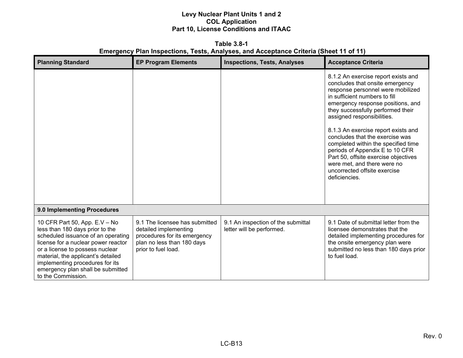**Table 3.8-1 Emergency Plan Inspections, Tests, Analyses, and Acceptance Criteria (Sheet 11 of 11)**

| <b>Planning Standard</b>                                                                                                                                                                                                                                                                                             | <b>EP Program Elements</b>                                                                                                                   | <b>Inspections, Tests, Analyses</b>                             | <b>Acceptance Criteria</b>                                                                                                                                                                                                                                                                                                                                                                                                                                                                                                       |
|----------------------------------------------------------------------------------------------------------------------------------------------------------------------------------------------------------------------------------------------------------------------------------------------------------------------|----------------------------------------------------------------------------------------------------------------------------------------------|-----------------------------------------------------------------|----------------------------------------------------------------------------------------------------------------------------------------------------------------------------------------------------------------------------------------------------------------------------------------------------------------------------------------------------------------------------------------------------------------------------------------------------------------------------------------------------------------------------------|
|                                                                                                                                                                                                                                                                                                                      |                                                                                                                                              |                                                                 | 8.1.2 An exercise report exists and<br>concludes that onsite emergency<br>response personnel were mobilized<br>in sufficient numbers to fill<br>emergency response positions, and<br>they successfully performed their<br>assigned responsibilities.<br>8.1.3 An exercise report exists and<br>concludes that the exercise was<br>completed within the specified time<br>periods of Appendix E to 10 CFR<br>Part 50, offsite exercise objectives<br>were met, and there were no<br>uncorrected offsite exercise<br>deficiencies. |
| 9.0 Implementing Procedures                                                                                                                                                                                                                                                                                          |                                                                                                                                              |                                                                 |                                                                                                                                                                                                                                                                                                                                                                                                                                                                                                                                  |
| 10 CFR Part 50, App. E.V - No<br>less than 180 days prior to the<br>scheduled issuance of an operating<br>license for a nuclear power reactor<br>or a license to possess nuclear<br>material, the applicant's detailed<br>implementing procedures for its<br>emergency plan shall be submitted<br>to the Commission. | 9.1 The licensee has submitted<br>detailed implementing<br>procedures for its emergency<br>plan no less than 180 days<br>prior to fuel load. | 9.1 An inspection of the submittal<br>letter will be performed. | 9.1 Date of submittal letter from the<br>licensee demonstrates that the<br>detailed implementing procedures for<br>the onsite emergency plan were<br>submitted no less than 180 days prior<br>to fuel load.                                                                                                                                                                                                                                                                                                                      |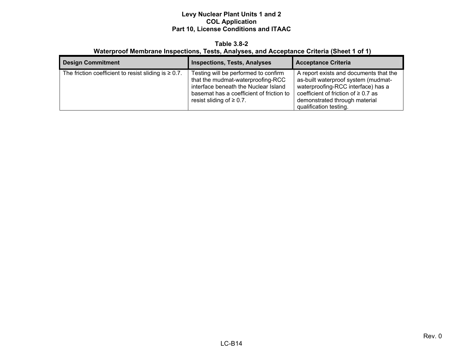#### **Table 3.8-2 Waterproof Membrane Inspections, Tests, Analyses, and Acceptance Criteria (Sheet 1 of 1)**

| <b>Design Commitment</b>                                   | <b>Inspections, Tests, Analyses</b>                                                                                                                                                             | <b>Acceptance Criteria</b>                                                                                                                                                                                                 |
|------------------------------------------------------------|-------------------------------------------------------------------------------------------------------------------------------------------------------------------------------------------------|----------------------------------------------------------------------------------------------------------------------------------------------------------------------------------------------------------------------------|
| The friction coefficient to resist sliding is $\geq 0.7$ . | Testing will be performed to confirm<br>that the mudmat-waterproofing-RCC<br>interface beneath the Nuclear Island<br>basemat has a coefficient of friction to<br>resist sliding of $\geq 0.7$ . | A report exists and documents that the<br>as-built waterproof system (mudmat-<br>waterproofing-RCC interface) has a<br>coefficient of friction of $\geq 0.7$ as<br>demonstrated through material<br>qualification testing. |